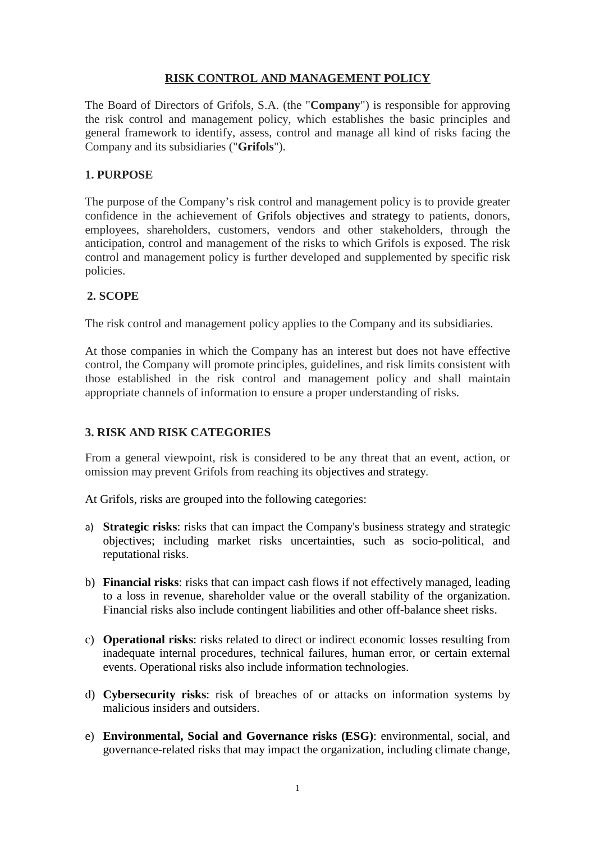# **RISK CONTROL AND MANAGEMENT POLICY**

The Board of Directors of Grifols, S.A. (the "**Company**") is responsible for approving the risk control and management policy, which establishes the basic principles and general framework to identify, assess, control and manage all kind of risks facing the Company and its subsidiaries ("**Grifols**").

## **1. PURPOSE**

The purpose of the Company's risk control and management policy is to provide greater confidence in the achievement of Grifols objectives and strategy to patients, donors, employees, shareholders, customers, vendors and other stakeholders, through the anticipation, control and management of the risks to which Grifols is exposed. The risk control and management policy is further developed and supplemented by specific risk policies.

### **2. SCOPE**

The risk control and management policy applies to the Company and its subsidiaries.

At those companies in which the Company has an interest but does not have effective control, the Company will promote principles, guidelines, and risk limits consistent with those established in the risk control and management policy and shall maintain appropriate channels of information to ensure a proper understanding of risks.

### **3. RISK AND RISK CATEGORIES**

From a general viewpoint, risk is considered to be any threat that an event, action, or omission may prevent Grifols from reaching its objectives and strategy*.*

At Grifols, risks are grouped into the following categories:

- a) **Strategic risks**: risks that can impact the Company's business strategy and strategic objectives; including market risks uncertainties, such as socio-political, and reputational risks.
- b) **Financial risks**: risks that can impact cash flows if not effectively managed, leading to a loss in revenue, shareholder value or the overall stability of the organization. Financial risks also include contingent liabilities and other off-balance sheet risks.
- c) **Operational risks**: risks related to direct or indirect economic losses resulting from inadequate internal procedures, technical failures, human error, or certain external events. Operational risks also include information technologies.
- d) **Cybersecurity risks**: risk of breaches of or attacks on information systems by malicious insiders and outsiders.
- e) **Environmental, Social and Governance risks (ESG)**: environmental, social, and governance-related risks that may impact the organization, including climate change,